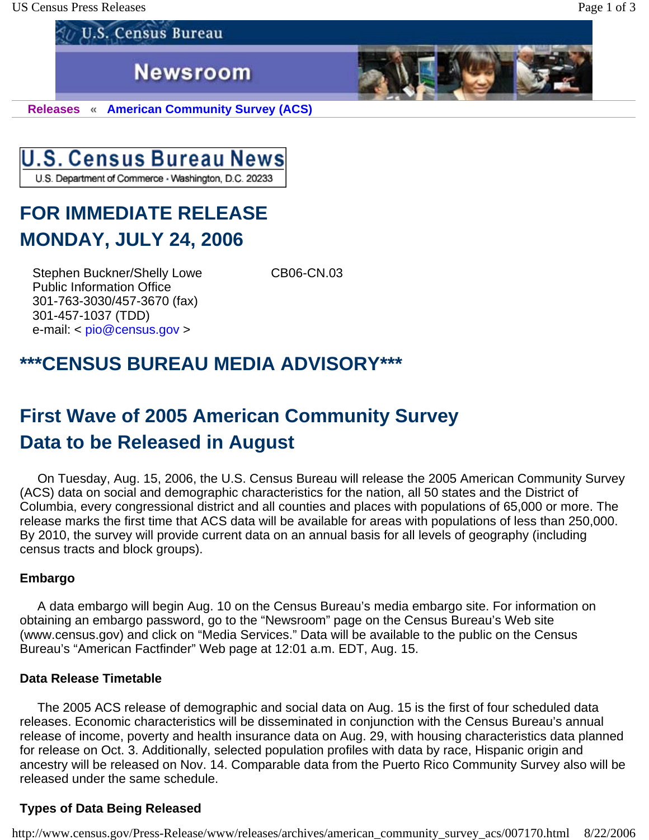US Census Press Releases **Page 1 of 3** 

**Newsroom** 

**Releases « American Community Survey (ACS)** 



**U.S. Census Bureau** 

**FOR IMMEDIATE RELEASE MONDAY, JULY 24, 2006** 

Stephen Buckner/Shelly Lowe CB06-CN.03 Public Information Office 301-763-3030/457-3670 (fax) 301-457-1037 (TDD) e-mail: < pio@census.gov >

## **\*\*\*CENSUS BUREAU MEDIA ADVISORY\*\*\***

# **First Wave of 2005 American Community Survey Data to be Released in August**

 On Tuesday, Aug. 15, 2006, the U.S. Census Bureau will release the 2005 American Community Survey (ACS) data on social and demographic characteristics for the nation, all 50 states and the District of Columbia, every congressional district and all counties and places with populations of 65,000 or more. The release marks the first time that ACS data will be available for areas with populations of less than 250,000. By 2010, the survey will provide current data on an annual basis for all levels of geography (including census tracts and block groups).

## **Embargo**

 A data embargo will begin Aug. 10 on the Census Bureau's media embargo site. For information on obtaining an embargo password, go to the "Newsroom" page on the Census Bureau's Web site (www.census.gov) and click on "Media Services." Data will be available to the public on the Census Bureau's "American Factfinder" Web page at 12:01 a.m. EDT, Aug. 15.

#### **Data Release Timetable**

 The 2005 ACS release of demographic and social data on Aug. 15 is the first of four scheduled data releases. Economic characteristics will be disseminated in conjunction with the Census Bureau's annual release of income, poverty and health insurance data on Aug. 29, with housing characteristics data planned for release on Oct. 3. Additionally, selected population profiles with data by race, Hispanic origin and ancestry will be released on Nov. 14. Comparable data from the Puerto Rico Community Survey also will be released under the same schedule.

## **Types of Data Being Released**

http://www.census.gov/Press-Release/www/releases/archives/american\_community\_survey\_acs/007170.html 8/22/2006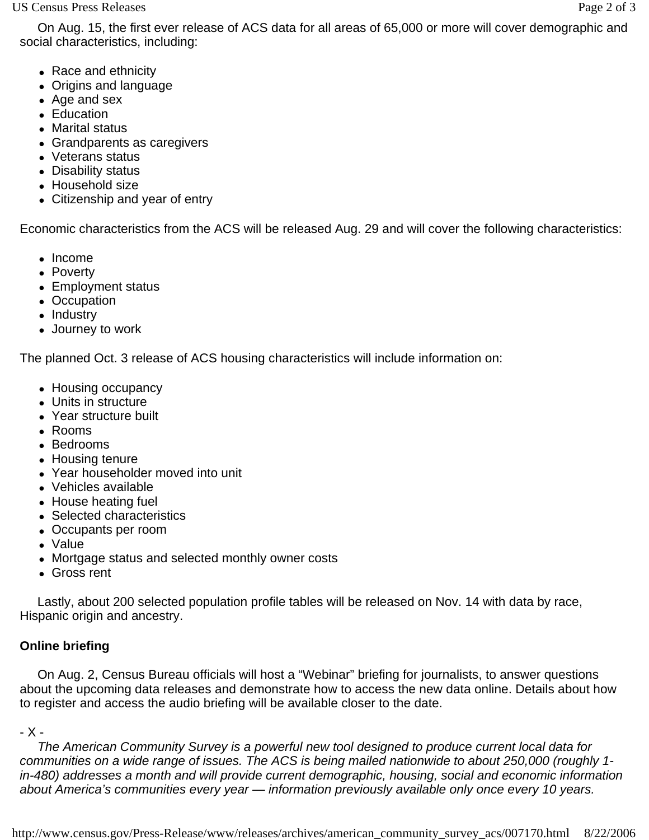- Race and ethnicity
- Origins and language
- Age and sex
- Education
- Marital status
- Grandparents as caregivers
- Veterans status
- Disability status
- Household size
- Citizenship and year of entry

Economic characteristics from the ACS will be released Aug. 29 and will cover the following characteristics:

- Income
- Poverty
- Employment status
- Occupation
- Industry
- Journey to work

The planned Oct. 3 release of ACS housing characteristics will include information on:

- Housing occupancy
- Units in structure
- Year structure built
- Rooms
- Bedrooms
- Housing tenure
- Year householder moved into unit
- Vehicles available
- House heating fuel
- Selected characteristics
- Occupants per room
- Value
- Mortgage status and selected monthly owner costs
- Gross rent

 Lastly, about 200 selected population profile tables will be released on Nov. 14 with data by race, Hispanic origin and ancestry.

## **Online briefing**

 On Aug. 2, Census Bureau officials will host a "Webinar" briefing for journalists, to answer questions about the upcoming data releases and demonstrate how to access the new data online. Details about how to register and access the audio briefing will be available closer to the date.

- X -

 *The American Community Survey is a powerful new tool designed to produce current local data for communities on a wide range of issues. The ACS is being mailed nationwide to about 250,000 (roughly 1 in-480) addresses a month and will provide current demographic, housing, social and economic information about America's communities every year — information previously available only once every 10 years.*